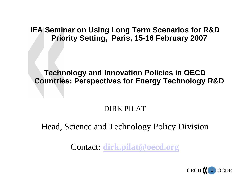**IEA Seminar on Using Long Term Scenarios for R&D Priority Setting, Paris, 15-16 February 2007**

#### **Technology and Innovation Policies in OECD Countries: Perspectives for Energy Technology R&D**

#### DIRK PILAT

### Head, Science and Technology Policy Division

Contact: **[dirk.pilat@oecd.org](mailto:dirk.pilat@oecd.org)**

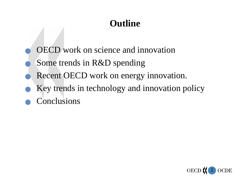## **Outline**

- Q OECD work on science and innovation
- Some trends in R&D spending
- Recent OECD work on energy innovation.
- Key trends in technology and innovation policy
- **Conclusions**

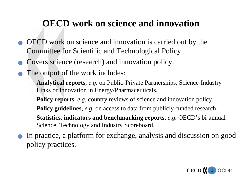## **OECD work on science and innovation**

- <sup>Q</sup> OECD work on science and innovation is carried out by the Committee for Scientific and Technological Policy.
- Covers science (research) and innovation policy.
- The output of the work includes:
	- – **Analytical reports**, *e.g.* on Public-Private Partnerships, Science-Industry Links or Innovation in Energy/Pharmaceut icals.
	- –**Policy reports**, *e.g.* country reviews of science and innovation policy.
	- –**Policy guideli nes**, *e.g.* on access to data from publicly-funded research.
	- **Statistics, indicators and benchma rking reports**, *e.g.* OECD's bi-annual Science, Technology and Industry S coreboard.
- In practice, a platform for exchange, analysis and discussion on good policy practices.

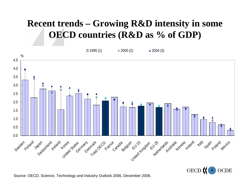## **Recent trends – Growing R&D intensity in some OECD countries (R&D as % of GDP)**



4 ) (

Source: OECD, Science, Technology and Industry Outlook 2006, December 2006.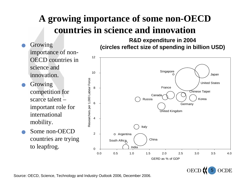## **A growing importance of some non-OECD countries in science and innovation**

- Growing importance of non-OECD countries in science and innovation.
- **Growing** competition for scarce talent –important role for international mobility.
- Some non-OECD countries are trying to leapfrog.



**R&D expenditure in 2004 (circles reflect size of spending in billion USD)**

> OECD<sup>(</sup> 5 $\mathbf$

Source: OECD, Science, Technology and Ind ustry Outlook 2 006, December 2006.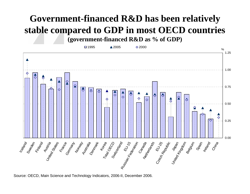# **Government-financed R&D has been relatively stable compared to GDP in most OECD countries**

**(government-financed R&D as % of GDP)**



Source: OECD, Main Science a nd Technology Indic ators, 2006-II, December 2006.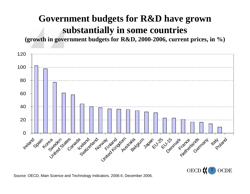## **Government budgets for R&D have grown substantially in some countries**

**(growth in government budgets for R&D, 2000-2006, current prices, in %)**



**OECD** 7 $\mathbf$ 

Source: OECD, Main Science a nd Technology Indic ators, 2006-II, December 2006.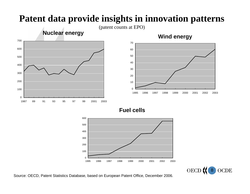## **Patent data provide insights in innovation patterns**

(patent counts at EPO)





**Fuel cells**





Source: OECD, Patent Statistics Database, based on European Patent Office, December 2006.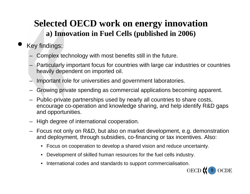## **Selected OECD work on energy innovation a) Innovation in Fuel Cells (published in 2006)**

- Key findings:
	- –Complex technology with most benefits still in the future.
	- –Particularly important focus for countries with large car industries or countries heavily dependent on imported oil.
	- –Important role for universities and government laboratories.
	- –Growing private spending as commercial applications becoming apparent.
	- –Public-private partnerships used by nearly all countries to share costs, encourage co-operation and knowledge sharing, and help identify R&D gaps and opportunities.
	- –High degree of international cooperation.
	- Focus not only on R&D, but also on market development, e.g. demonstration and deployment, through subsidies, co-financing or tax incentives. Also:
		- Focus on cooperation to develop a shared vision and reduce uncertainty.
		- Development of skilled human resources for the fuel cells industry.
		- •International codes and standards to support commercialisation.

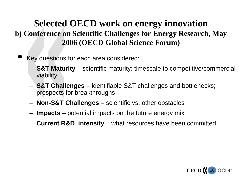### **Selected OECD work on energy innovation b) Conference on Scientific Challenges for Energy Research, May 2006 (OECD Global Science Forum)**

- Key questions for each area considered:
	- **S&T Maturity** – scientific maturity; tim escale to competitive/commercial viability
	- **S&T Challenges** – identifiable S&T challenges and bottlenecks; prospects for breakthroughs
	- **Non-S&T Challenges**  – scientific vs. o ther o bstacles
	- **Impacts** – potential impacts on the future energy mix
	- **Current R&D intensity** – what resources have been committed

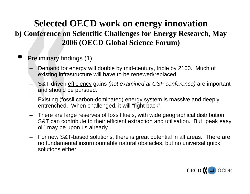### **Selected OECD work on energy innovation b) Conference on Scientific Challenges for Energy Research, May 2006 (OECD Global Science Forum)**

- Preliminary findings (1):
	- –Demand for energy will double by mid-century, triple by 2100. Much of existing infrastructure will have to be renewed/replaced.
	- – S&T-driven efficiency gains *(not examined at GSF conference)* are important and should be pursued.
	- –Existing (fossil carbon-dominated) energy system is massive and deeply entrenched. When challenged, it will "fight back".
	- There are large reserves of fossil fuels, with wide geographical distribution. S&T can contribute to their efficient extraction and utilisation. But "peak easy oil" may be upon us already.
	- –For new S&T-based solutions, there is great potential in all areas. There are no fundamental insurmountable natural obstacles, but no universal quick solutions either.

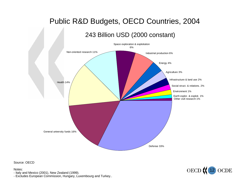#### Public R&D Budgets, OECD Countries, 2004

243 Billion USD (2000 constant)



Source: OECD

Notes:

- Italy and Mexic o (2001), N ew Zealand (1999).

- Excludes European Commission, Hungary, Luxembourg and Turkey..

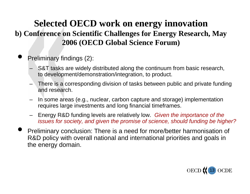### **Selected OECD work on energy innovation b) Conference on Scientific Challenges for Energy Research, May 2006 (OECD Global Science Forum)**

- Preliminary findings (2):
	- – S&T tasks are widely distributed along the continuum from basic research, to development/demonstration/integration, to product.
	- –There is a corresponding division of tasks between public and private funding and research.
	- – In some areas (e.g., nuclear, carbon capture and storage) implementation requires large investments and long financial timeframes.
	- –Energy R&D funding levels are relatively low. *Given the importance of the issues for society, and given the promise of science, should funding be higher?*
- <sup>Q</sup> Preliminary conclusion: There is a need for more/better harmonis ation of R&D policy with overall national and international priorities and goals in the energy domain.

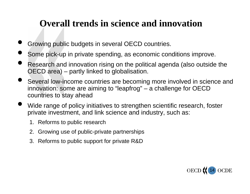## **Overall trends in science and innovation**

- Growing public budgets in several OECD countries.
- Some pick-up in private spending, as economic conditions improve.
- Research and innovation rising on the political agenda (also outside the OECD area) partly linked to globalis ation.
- **Several low-income countries are becoming more involved in science and** innovation: some are aiming to "leapfrog" – a challenge for OECD countries to stay ahead
- Wide range of policy initiatives to strengthen scientific research, foster private investment, and link science and industry, such as:
	- 1. Reforms to public research
	- 2. Growing use of public-private partnerships
	- 3. Reforms to public support for private R&D

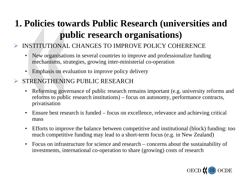## **1. Policies towards Public Research (universities and public research organisations)**

#### ¾INSTITUTIONAL CHANGES TO IMP ROVE POLICY COHERENCE

- $\bullet$ New organisations in several countries to improve and professionalize funding mechanisms, strategies, growing inter-ministerial co-operation
- •Emphasis on evaluation to improve policy delivery

#### ¾STRENGTHENING PUBLIC RESEARCH

- •Reforming governance of public research remains important (e.g. university reforms and reforms to public research institutions) – focus on autonomy, performance contracts, privatisation
- •Ensure best research is funded – focus on excellence, relevance and achieving critical mass
- $\bullet$ Efforts to improve the balance between competitive and institutional (block) funding: too much competitive funding may lead to a short-term focus (e.g. in New Zealand)
- $\bullet$ Focus on infrastructure for science and research – concerns about the sustainability of investments, international co-operation to share (growing) costs of research

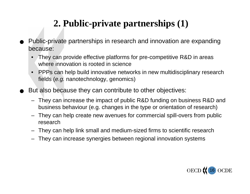## **2. Public-private partnerships (1)**

- Public-private partnerships in research and innovation are expanding because:
	- •They can provide effective platforms for pre-competitive R&D in areas where innovation is rooted in science
	- •• PPPs can help build innovative networks in new multidisciplinary research fields (*e.g.* nanotechnology, genomics)
- But also because they can contribute to other objectives:
	- They can increase the impact of public R&D funding on business R&D and business behaviour (e.g. changes in the type or orientation of research)
	- They can help create new avenues f or commercial spill-overs from public research
	- They can help link small and medium-sized firms to scientific research
	- They can increase synergies between regional innovation systems

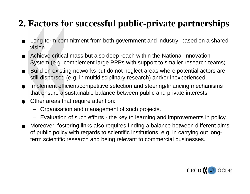## **2. Factors for successful public-private partnerships**

- Long-term commitment from both government and industry, based on a shared vision
- Achieve critical mass but also deep reach within the National Innovation System (e.g. complement large PPPs with support to smaller research teams).
- Build on existing networks but do not neglect areas where potential actors are still dispersed (e.g. in multidisciplinary research) and/or inexperienced.
- <sup>Q</sup> Implement efficient/competitive selection and steering/financing mechanisms that ensure a sustainable balance between public and private interests
- Other areas that require attention:
	- Organisation and management of such projects.
	- Evaluation of such efforts the key to learning and improvements in policy.
- Moreover, fostering links also requires finding a balance between different aims of public policy with regards to scientific institutions, e.g. in carrying out longterm scientific research and being relevant to commercial businesses.

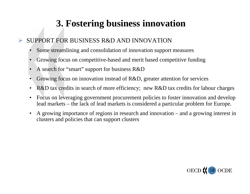## **3. Fostering business innovation**

#### ¾SUPPORT FOR BUSINESS R&D AND INNOVATION

- •Some streamlining and consolidation of innovation support measures
- •Growing focus on competitive-based and merit based competitive funding
- •A search for "smart" support for business R&D
- •Growing focus on innovation instead of R&D, greater attention for services
- •R&D tax credits in search of more efficiency; new R&D tax credits for labour charges
- $\bullet$ Focus on leveraging government procurement policies to foster innovation and develop lead markets – the lack of lead markets is considered a particular problem for Europe.
- •A growing importance of regions in research and innovation – and a growing interest in clusters and policies that can support clusters

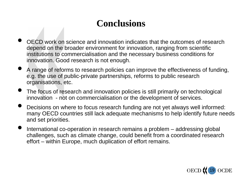## **Conclusions**

- <sup>Q</sup> OECD work on science and innovation indicates that the outcomes of research depend on the broader environment for innovation, ranging from scientific institutions to commercialisation and the necessary business conditions for innovation. Good research is not enough.
- A range of reforms to research policies can improve the effectiveness of funding, e.g. the use of public-private partnerships, reforms to public research organisations, etc.
- The focus of research and innovation policies is still primarily on technological innovation - not on commercialisation or the development of services.
- Decisions on where to focus research funding are not yet always well informed: many OECD countries still lack adequate mechanisms to help identify future needs and set priorities.
- International co-operation in research remains a problem  $-$  addressing global challenges, such as climate change, could benefit from a coordinated research effort – within Europe, much duplication of effort remains.